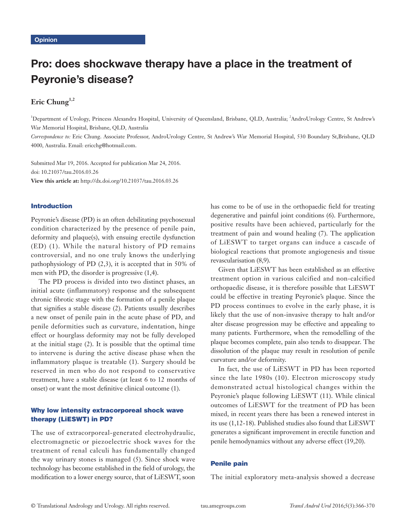# Pro: does shockwave therapy have a place in the treatment of Peyronie's disease?

# Eric Chung<sup>1,2</sup>

<sup>1</sup>Department of Urology, Princess Alexandra Hospital, University of Queensland, Brisbane, QLD, Australia; <sup>2</sup>AndroUrology Centre, St Andrew's War Memorial Hospital, Brisbane, QLD, Australia

*Correspondence to:* Eric Chung. Associate Professor, AndroUrology Centre, St Andrew's War Memorial Hospital, 530 Boundary St,Brisbane, QLD 4000, Australia. Email: ericchg@hotmail.com.

Submitted Mar 19, 2016. Accepted for publication Mar 24, 2016. doi: 10.21037/tau.2016.03.26 **View this article at:** http://dx.doi.org/10.21037/tau.2016.03.26

## Introduction

Peyronie's disease (PD) is an often debilitating psychosexual condition characterized by the presence of penile pain, deformity and plaque(s), with ensuing erectile dysfunction (ED) (1). While the natural history of PD remains controversial, and no one truly knows the underlying pathophysiology of PD (2,3), it is accepted that in 50% of men with PD, the disorder is progressive (1,4).

The PD process is divided into two distinct phases, an initial acute (inflammatory) response and the subsequent chronic fibrotic stage with the formation of a penile plaque that signifies a stable disease (2). Patients usually describes a new onset of penile pain in the acute phase of PD, and penile deformities such as curvature, indentation, hinge effect or hourglass deformity may not be fully developed at the initial stage (2). It is possible that the optimal time to intervene is during the active disease phase when the inflammatory plaque is treatable (1). Surgery should be reserved in men who do not respond to conservative treatment, have a stable disease (at least 6 to 12 months of onset) or want the most definitive clinical outcome (1).

# Why low intensity extracorporeal shock wave therapy (LiESWT) in PD?

The use of extracorporeal-generated electrohydraulic, electromagnetic or piezoelectric shock waves for the treatment of renal calculi has fundamentally changed the way urinary stones is managed (5). Since shock wave technology has become established in the field of urology, the modification to a lower energy source, that of LiESWT, soon

has come to be of use in the orthopaedic field for treating degenerative and painful joint conditions (6). Furthermore, positive results have been achieved, particularly for the treatment of pain and wound healing (7). The application of LiESWT to target organs can induce a cascade of biological reactions that promote angiogenesis and tissue revascularisation (8,9).

Given that LiESWT has been established as an effective treatment option in various calcified and non-calcified orthopaedic disease, it is therefore possible that LiESWT could be effective in treating Peyronie's plaque. Since the PD process continues to evolve in the early phase, it is likely that the use of non-invasive therapy to halt and/or alter disease progression may be effective and appealing to many patients. Furthermore, when the remodelling of the plaque becomes complete, pain also tends to disappear. The dissolution of the plaque may result in resolution of penile curvature and/or deformity.

In fact, the use of LiESWT in PD has been reported since the late 1980s (10). Electron microscopy study demonstrated actual histological changes within the Peyronie's plaque following LiESWT (11). While clinical outcomes of LiESWT for the treatment of PD has been mixed, in recent years there has been a renewed interest in its use (1,12-18). Published studies also found that LiESWT generates a significant improvement in erectile function and penile hemodynamics without any adverse effect (19,20).

# Penile pain

The initial exploratory meta-analysis showed a decrease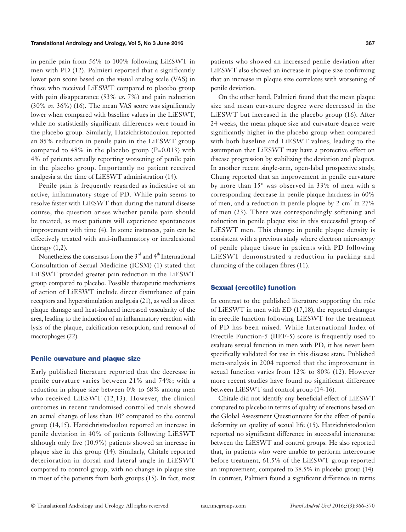in penile pain from 56% to 100% following LiESWT in men with PD (12). Palmieri reported that a significantly lower pain score based on the visual analog scale (VAS) in those who received LiESWT compared to placebo group with pain disappearance (53% *vs*. 7%) and pain reduction (30% *vs*. 36%) (16). The mean VAS score was significantly lower when compared with baseline values in the LiESWT, while no statistically significant differences were found in the placebo group. Similarly, Hatzichristodoulou reported an 85% reduction in penile pain in the LiESWT group compared to  $48\%$  in the placebo group  $(P=0.013)$  with 4% of patients actually reporting worsening of penile pain in the placebo group. Importantly no patient received analgesia at the time of LiESWT administration (14).

Penile pain is frequently regarded as indicative of an active, inflammatory stage of PD. While pain seems to resolve faster with LiESWT than during the natural disease course, the question arises whether penile pain should be treated, as most patients will experience spontaneous improvement with time (4). In some instances, pain can be effectively treated with anti-inflammatory or intralesional therapy  $(1,2)$ .

Nonetheless the consensus from the  $3<sup>rd</sup>$  and  $4<sup>th</sup>$  International Consultation of Sexual Medicine (ICSM) (1) stated that LiESWT provided greater pain reduction in the LiESWT group compared to placebo. Possible therapeutic mechanisms of action of LiESWT include direct disturbance of pain receptors and hyperstimulation analgesia (21), as well as direct plaque damage and heat-induced increased vascularity of the area, leading to the induction of an inflammatory reaction with lysis of the plaque, calcification resorption, and removal of macrophages (22).

#### Penile curvature and plaque size

Early published literature reported that the decrease in penile curvature varies between 21% and 74%; with a reduction in plaque size between 0% to 68% among men who received LiESWT (12,13). However, the clinical outcomes in recent randomised controlled trials showed an actual change of less than 10° compared to the control group (14,15). Hatzichristodoulou reported an increase in penile deviation in 40% of patients following LiESWT although only five (10.9%) patients showed an increase in plaque size in this group (14). Similarly, Chitale reported deterioration in dorsal and lateral angle in LiESWT compared to control group, with no change in plaque size in most of the patients from both groups (15). In fact, most

patients who showed an increased penile deviation after LiESWT also showed an increase in plaque size confirming that an increase in plaque size correlates with worsening of penile deviation.

On the other hand, Palmieri found that the mean plaque size and mean curvature degree were decreased in the LiESWT but increased in the placebo group (16). After 24 weeks, the mean plaque size and curvature degree were significantly higher in the placebo group when compared with both baseline and LiESWT values, leading to the assumption that LiESWT may have a protective effect on disease progression by stabilizing the deviation and plaques. In another recent single-arm, open-label prospective study, Chung reported that an improvement in penile curvature by more than 15° was observed in 33% of men with a corresponding decrease in penile plaque hardness in 60% of men, and a reduction in penile plaque by 2  $\text{cm}^2$  in 27% of men (23). There was correspondingly softening and reduction in penile plaque size in this successful group of LiESWT men. This change in penile plaque density is consistent with a previous study where electron microscopy of penile plaque tissue in patients with PD following LiESWT demonstrated a reduction in packing and clumping of the collagen fibres (11).

#### Sexual (erectile) function

In contrast to the published literature supporting the role of LiESWT in men with ED (17,18), the reported changes in erectile function following LiESWT for the treatment of PD has been mixed. While International Index of Erectile Function-5 (IIEF-5) score is frequently used to evaluate sexual function in men with PD, it has never been specifically validated for use in this disease state. Published meta-analysis in 2004 reported that the improvement in sexual function varies from 12% to 80% (12). However more recent studies have found no significant difference between LiESWT and control group (14-16).

Chitale did not identify any beneficial effect of LiESWT compared to placebo in terms of quality of erections based on the Global Assessment Questionnaire for the effect of penile deformity on quality of sexual life (15). Hatzichristodoulou reported no significant difference in successful intercourse between the LiESWT and control groups. He also reported that, in patients who were unable to perform intercourse before treatment, 61.5% of the LiESWT group reported an improvement, compared to 38.5% in placebo group (14). In contrast, Palmieri found a significant difference in terms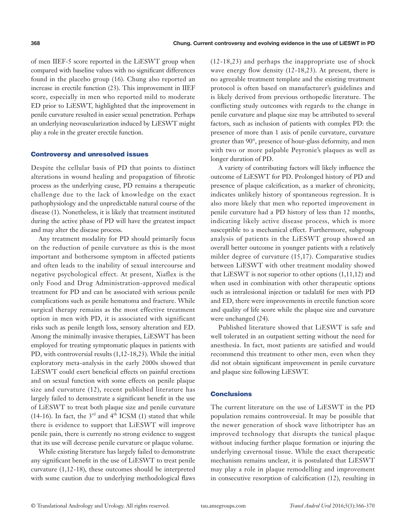of men IIEF-5 score reported in the LiESWT group when compared with baseline values with no significant differences found in the placebo group (16). Chung also reported an increase in erectile function (23). This improvement in IIEF score, especially in men who reported mild to moderate ED prior to LiESWT, highlighted that the improvement in penile curvature resulted in easier sexual penetration. Perhaps an underlying neovascularization induced by LiESWT might play a role in the greater erectile function.

### Controversy and unresolved issues

Despite the cellular basis of PD that points to distinct alterations in wound healing and propagation of fibrotic process as the underlying cause, PD remains a therapeutic challenge due to the lack of knowledge on the exact pathophysiology and the unpredictable natural course of the disease (1). Nonetheless, it is likely that treatment instituted during the active phase of PD will have the greatest impact and may alter the disease process.

Any treatment modality for PD should primarily focus on the reduction of penile curvature as this is the most important and bothersome symptom in affected patients and often leads to the inability of sexual intercourse and negative psychological effect. At present, Xiaflex is the only Food and Drug Administration-approved medical treatment for PD and can be associated with serious penile complications such as penile hematoma and fracture. While surgical therapy remains as the most effective treatment option in men with PD, it is associated with significant risks such as penile length loss, sensory alteration and ED. Among the minimally invasive therapies, LiESWT has been employed for treating symptomatic plaques in patients with PD, with controversial results (1,12-18,23). While the initial exploratory meta-analysis in the early 2000s showed that LiESWT could exert beneficial effects on painful erections and on sexual function with some effects on penile plaque size and curvature (12), recent published literature has largely failed to demonstrate a significant benefit in the use of LiESWT to treat both plaque size and penile curvature (14-16). In fact, the  $3<sup>rd</sup>$  and  $4<sup>th</sup>$  ICSM (1) stated that while there is evidence to support that LiESWT will improve penile pain, there is currently no strong evidence to suggest that its use will decrease penile curvature or plaque volume.

While existing literature has largely failed to demonstrate any significant benefit in the use of LiESWT to treat penile curvature (1,12-18), these outcomes should be interpreted with some caution due to underlying methodological flaws (12-18,23) and perhaps the inappropriate use of shock wave energy flow density (12-18,23). At present, there is no agreeable treatment template and the existing treatment protocol is often based on manufacturer's guidelines and is likely derived from previous orthopedic literature. The conflicting study outcomes with regards to the change in penile curvature and plaque size may be attributed to several factors, such as inclusion of patients with complex PD: the presence of more than 1 axis of penile curvature, curvature greater than 90°, presence of hour-glass deformity, and men with two or more palpable Peyronie's plaques as well as longer duration of PD.

A variety of contributing factors will likely influence the outcome of LiESWT for PD. Prolonged history of PD and presence of plaque calcification, as a marker of chronicity, indicates unlikely history of spontaneous regression. It is also more likely that men who reported improvement in penile curvature had a PD history of less than 12 months, indicating likely active disease process, which is more susceptible to a mechanical effect. Furthermore, subgroup analysis of patients in the LiESWT group showed an overall better outcome in younger patients with a relatively milder degree of curvature (15,17). Comparative studies between LiESWT with other treatment modality showed that LiESWT is not superior to other options  $(1,11,12)$  and when used in combination with other therapeutic options such as intralesional injection or tadalafil for men with PD and ED, there were improvements in erectile function score and quality of life score while the plaque size and curvature were unchanged (24).

Published literature showed that LiESWT is safe and well tolerated in an outpatient setting without the need for anesthesia. In fact, most patients are satisfied and would recommend this treatment to other men, even when they did not obtain significant improvement in penile curvature and plaque size following LiESWT.

# **Conclusions**

The current literature on the use of LiESWT in the PD population remains controversial. It may be possible that the newer generation of shock wave lithotripter has an improved technology that disrupts the tunical plaque without inducing further plaque formation or injuring the underlying cavernosal tissue. While the exact therapeutic mechanism remains unclear, it is postulated that LiESWT may play a role in plaque remodelling and improvement in consecutive resorption of calcification (12), resulting in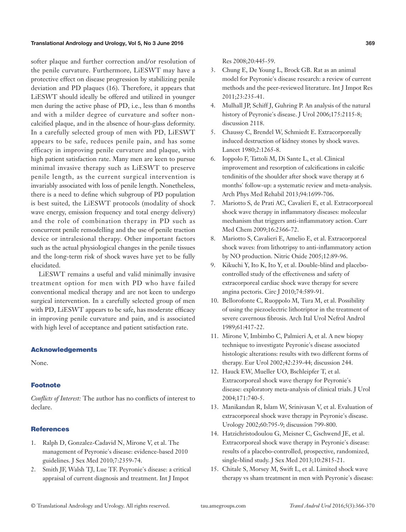#### Translational Andrology and Urology, Vol 5, No 3 June 2016 **369**

softer plaque and further correction and/or resolution of the penile curvature. Furthermore, LiESWT may have a protective effect on disease progression by stabilizing penile deviation and PD plaques (16). Therefore, it appears that LiESWT should ideally be offered and utilized in younger men during the active phase of PD, i.e., less than 6 months and with a milder degree of curvature and softer noncalcified plaque, and in the absence of hour-glass deformity. In a carefully selected group of men with PD, LiESWT appears to be safe, reduces penile pain, and has some efficacy in improving penile curvature and plaque, with high patient satisfaction rate. Many men are keen to pursue minimal invasive therapy such as LiESWT to preserve penile length, as the current surgical intervention is invariably associated with loss of penile length. Nonetheless, there is a need to define which subgroup of PD population is best suited, the LiESWT protocols (modality of shock wave energy, emission frequency and total energy delivery) and the role of combination therapy in PD such as concurrent penile remodelling and the use of penile traction device or intralesional therapy. Other important factors such as the actual physiological changes in the penile tissues and the long-term risk of shock waves have yet to be fully elucidated.

LiESWT remains a useful and valid minimally invasive treatment option for men with PD who have failed conventional medical therapy and are not keen to undergo surgical intervention. In a carefully selected group of men with PD, LiESWT appears to be safe, has moderate efficacy in improving penile curvature and pain, and is associated with high level of acceptance and patient satisfaction rate.

# Acknowledgements

None.

#### **Footnote**

*Conflicts of Interest:* The author has no conflicts of interest to declare.

#### **References**

- 1. Ralph D, Gonzalez-Cadavid N, Mirone V, et al. The management of Peyronie's disease: evidence-based 2010 guidelines. J Sex Med 2010;7:2359-74.
- 2. Smith JF, Walsh TJ, Lue TF. Peyronie's disease: a critical appraisal of current diagnosis and treatment. Int J Impot

Res 2008;20:445-59.

- 3. Chung E, De Young L, Brock GB. Rat as an animal model for Peyronie's disease research: a review of current methods and the peer-reviewed literature. Int J Impot Res 2011;23:235-41.
- 4. Mulhall JP, Schiff J, Guhring P. An analysis of the natural history of Peyronie's disease. J Urol 2006;175:2115-8; discussion 2118.
- 5. Chaussy C, Brendel W, Schmiedt E. Extracorporeally induced destruction of kidney stones by shock waves. Lancet 1980;2:1265-8.
- 6. Ioppolo F, Tattoli M, Di Sante L, et al. Clinical improvement and resorption of calcifications in calcific tendinitis of the shoulder after shock wave therapy at 6 months' follow-up: a systematic review and meta-analysis. Arch Phys Med Rehabil 2013;94:1699-706.
- 7. Mariotto S, de Prati AC, Cavalieri E, et al. Extracorporeal shock wave therapy in inflammatory diseases: molecular mechanism that triggers anti-inflammatory action. Curr Med Chem 2009;16:2366-72.
- 8. Mariotto S, Cavalieri E, Amelio E, et al. Extracorporeal shock waves: from lithotripsy to anti-inflammatory action by NO production. Nitric Oxide 2005;12:89-96.
- 9. Kikuchi Y, Ito K, Ito Y, et al. Double-blind and placebocontrolled study of the effectiveness and safety of extracorporeal cardiac shock wave therapy for severe angina pectoris. Circ J 2010;74:589-91.
- 10. Bellorofonte C, Ruoppolo M, Tura M, et al. Possibility of using the piezoelectric lithotriptor in the treatment of severe cavernous fibrosis. Arch Ital Urol Nefrol Androl 1989;61:417-22.
- 11. Mirone V, Imbimbo C, Palmieri A, et al. A new biopsy technique to investigate Peyronie's disease associated histologic alterations: results with two different forms of therapy. Eur Urol 2002;42:239-44; discussion 244.
- 12. Hauck EW, Mueller UO, Bschleipfer T, et al. Extracorporeal shock wave therapy for Peyronie's disease: exploratory meta-analysis of clinical trials. J Urol 2004;171:740-5.
- 13. Manikandan R, Islam W, Srinivasan V, et al. Evaluation of extracorporeal shock wave therapy in Peyronie's disease. Urology 2002;60:795-9; discussion 799-800.
- 14. Hatzichristodoulou G, Meisner C, Gschwend JE, et al. Extracorporeal shock wave therapy in Peyronie's disease: results of a placebo-controlled, prospective, randomized, single-blind study. J Sex Med 2013;10:2815-21.
- 15. Chitale S, Morsey M, Swift L, et al. Limited shock wave therapy vs sham treatment in men with Peyronie's disease: